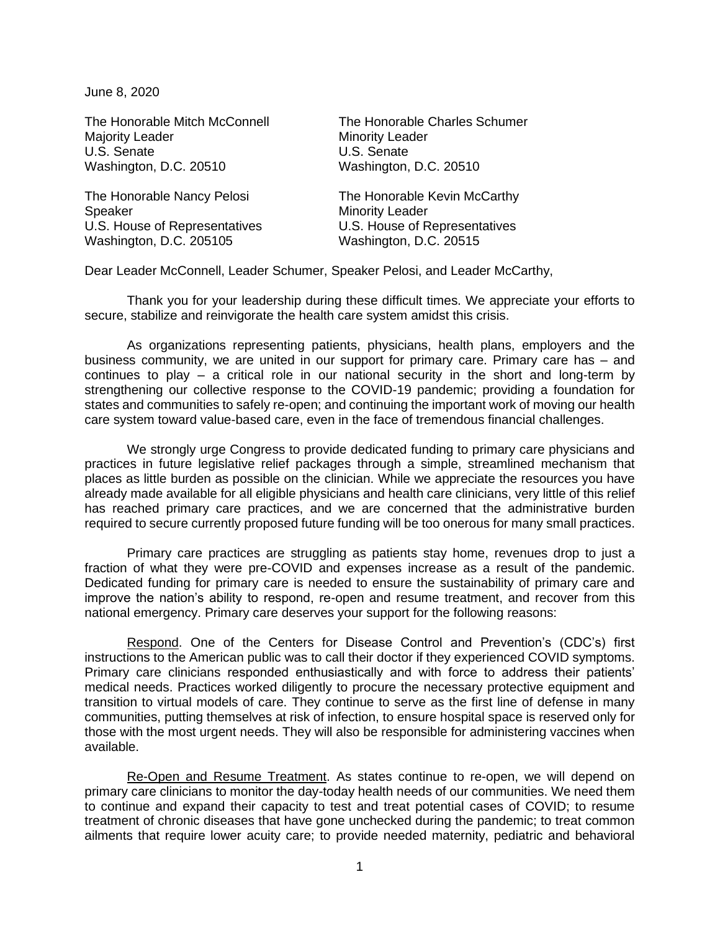June 8, 2020

Majority Leader Minority Leader U.S. Senate U.S. Senate Washington, D.C. 20510 Washington, D.C. 20510

The Honorable Nancy Pelosi The Honorable Kevin McCarthy Speaker Minority Leader U.S. House of Representatives U.S. House of Representatives Washington, D.C. 205105 Washington, D.C. 20515

The Honorable Mitch McConnell The Honorable Charles Schumer

Dear Leader McConnell, Leader Schumer, Speaker Pelosi, and Leader McCarthy,

Thank you for your leadership during these difficult times. We appreciate your efforts to secure, stabilize and reinvigorate the health care system amidst this crisis.

As organizations representing patients, physicians, health plans, employers and the business community, we are united in our support for primary care. Primary care has – and continues to play – a critical role in our national security in the short and long-term by strengthening our collective response to the COVID-19 pandemic; providing a foundation for states and communities to safely re-open; and continuing the important work of moving our health care system toward value-based care, even in the face of tremendous financial challenges.

We strongly urge Congress to provide dedicated funding to primary care physicians and practices in future legislative relief packages through a simple, streamlined mechanism that places as little burden as possible on the clinician. While we appreciate the resources you have already made available for all eligible physicians and health care clinicians, very little of this relief has reached primary care practices, and we are concerned that the administrative burden required to secure currently proposed future funding will be too onerous for many small practices.

Primary care practices are struggling as patients stay home, revenues drop to just a fraction of what they were pre-COVID and expenses increase as a result of the pandemic. Dedicated funding for primary care is needed to ensure the sustainability of primary care and improve the nation's ability to respond, re-open and resume treatment, and recover from this national emergency. Primary care deserves your support for the following reasons:

Respond. One of the Centers for Disease Control and Prevention's (CDC's) first instructions to the American public was to call their doctor if they experienced COVID symptoms. Primary care clinicians responded enthusiastically and with force to address their patients' medical needs. Practices worked diligently to procure the necessary protective equipment and transition to virtual models of care. They continue to serve as the first line of defense in many communities, putting themselves at risk of infection, to ensure hospital space is reserved only for those with the most urgent needs. They will also be responsible for administering vaccines when available.

Re-Open and Resume Treatment. As states continue to re-open, we will depend on primary care clinicians to monitor the day-today health needs of our communities. We need them to continue and expand their capacity to test and treat potential cases of COVID; to resume treatment of chronic diseases that have gone unchecked during the pandemic; to treat common ailments that require lower acuity care; to provide needed maternity, pediatric and behavioral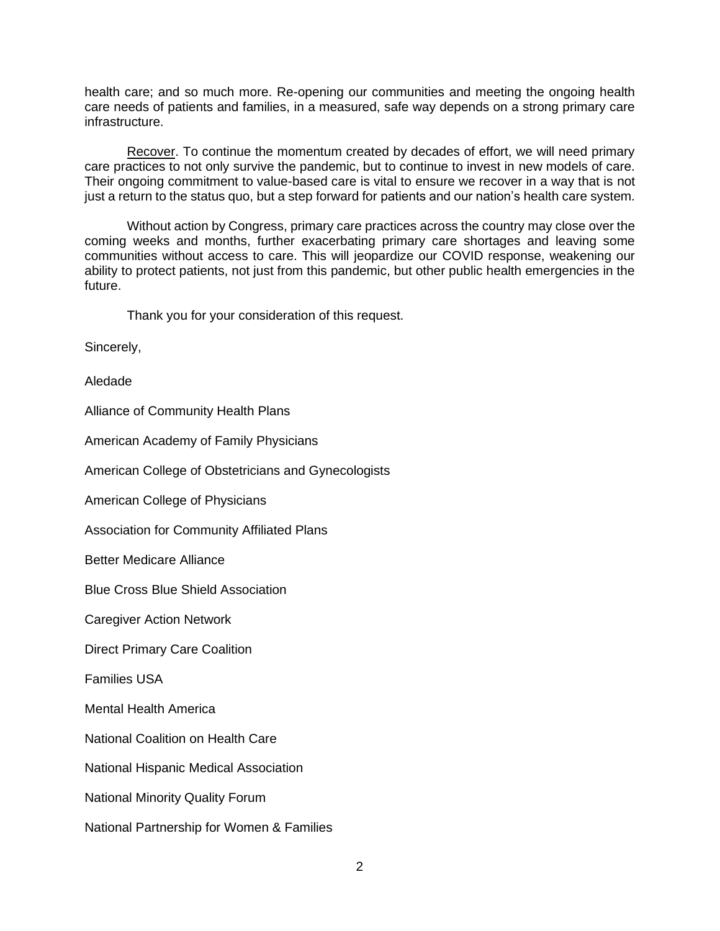health care; and so much more. Re-opening our communities and meeting the ongoing health care needs of patients and families, in a measured, safe way depends on a strong primary care infrastructure.

Recover. To continue the momentum created by decades of effort, we will need primary care practices to not only survive the pandemic, but to continue to invest in new models of care. Their ongoing commitment to value-based care is vital to ensure we recover in a way that is not just a return to the status quo, but a step forward for patients and our nation's health care system.

Without action by Congress, primary care practices across the country may close over the coming weeks and months, further exacerbating primary care shortages and leaving some communities without access to care. This will jeopardize our COVID response, weakening our ability to protect patients, not just from this pandemic, but other public health emergencies in the future.

Thank you for your consideration of this request.

Sincerely,

Aledade

Alliance of Community Health Plans

American Academy of Family Physicians

American College of Obstetricians and Gynecologists

American College of Physicians

Association for Community Affiliated Plans

Better Medicare Alliance

Blue Cross Blue Shield Association

Caregiver Action Network

Direct Primary Care Coalition

Families USA

Mental Health America

National Coalition on Health Care

National Hispanic Medical Association

National Minority Quality Forum

National Partnership for Women & Families